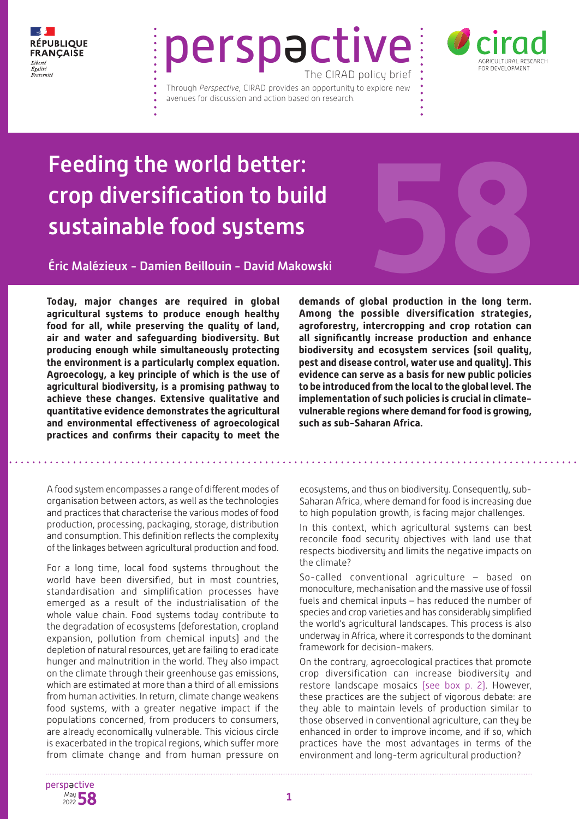

# perspactive The CIRAD policy brief

Through *Perspective,* CIRAD provides an opportunity to explore new avenues for discussion and action based on research.



## Feeding the world better: crop diversification to build sustainable food systems

Éric Malézieux - Damien Beillouin - David Makowski

**Today, major changes are required in global agricultural systems to produce enough healthy food for all, while preserving the quality of land, air and water and safeguarding biodiversity. But producing enough while simultaneously protecting the environment is a particularly complex equation. Agroecology, a key principle of which is the use of agricultural biodiversity, is a promising pathway to achieve these changes. Extensive qualitative and quantitative evidence demonstrates the agricultural and environmental effectiveness of agroecological practices and confirms their capacity to meet the** 

A food system encompasses a range of different modes of organisation between actors, as well as the technologies and practices that characterise the various modes of food production, processing, packaging, storage, distribution and consumption. This definition reflects the complexity of the linkages between agricultural production and food.

For a long time, local food systems throughout the world have been diversified, but in most countries, standardisation and simplification processes have emerged as a result of the industrialisation of the whole value chain. Food systems today contribute to the degradation of ecosystems (deforestation, cropland expansion, pollution from chemical inputs) and the depletion of natural resources, yet are failing to eradicate hunger and malnutrition in the world. They also impact on the climate through their greenhouse gas emissions, which are estimated at more than a third of all emissions from human activities. In return, climate change weakens food systems, with a greater negative impact if the populations concerned, from producers to consumers, are already economically vulnerable. This vicious circle is exacerbated in the tropical regions, which suffer more from climate change and from human pressure on



**demands of global production in the long term. Among the possible diversification strategies, agroforestry, intercropping and crop rotation can all significantly increase production and enhance biodiversity and ecosystem services (soil quality, pest and disease control, water use and quality). This evidence can serve as a basis for new public policies to be introduced from the local to the global level. The implementation of such policies is crucial in climatevulnerable regions where demand for food is growing, such as sub-Saharan Africa.**

ecosystems, and thus on biodiversity. Consequently, sub-Saharan Africa, where demand for food is increasing due to high population growth, is facing major challenges.

In this context, which agricultural systems can best reconcile food security objectives with land use that respects biodiversity and limits the negative impacts on the climate?

So-called conventional agriculture – based on monoculture, mechanisation and the massive use of fossil fuels and chemical inputs – has reduced the number of species and crop varieties and has considerably simplified the world's agricultural landscapes. This process is also underway in Africa, where it corresponds to the dominant framework for decision-makers.

On the contrary, agroecological practices that promote crop diversification can increase biodiversity and restore landscape mosaics (see box p. 2). However, these practices are the subject of vigorous debate: are they able to maintain levels of production similar to those observed in conventional agriculture, can they be enhanced in order to improve income, and if so, which practices have the most advantages in terms of the environment and long-term agricultural production?

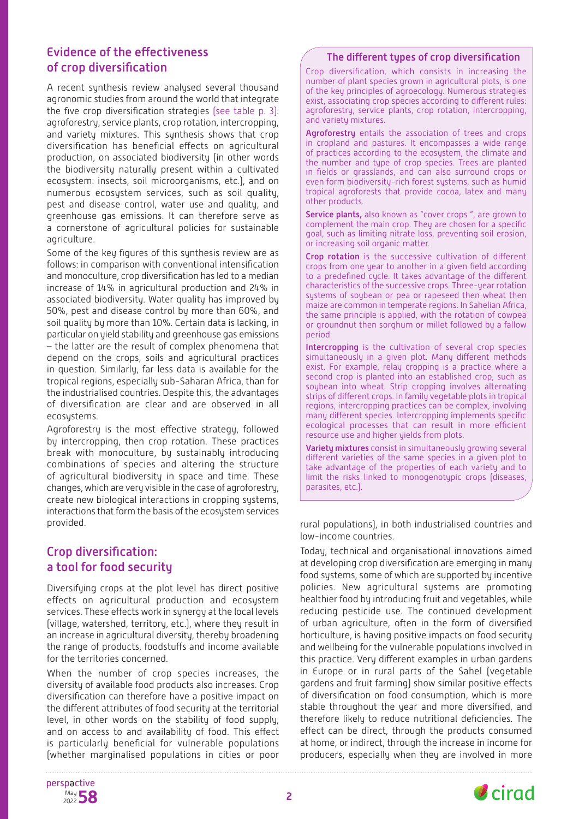## Evidence of the effectiveness of crop diversification

A recent synthesis review analysed several thousand agronomic studies from around the world that integrate the five crop diversification strategies (see table p. 3): agroforestry, service plants, crop rotation, intercropping, and variety mixtures. This synthesis shows that crop diversification has beneficial effects on agricultural production, on associated biodiversity (in other words the biodiversity naturally present within a cultivated ecosystem: insects, soil microorganisms, etc.), and on numerous ecosystem services, such as soil quality, pest and disease control, water use and quality, and greenhouse gas emissions. It can therefore serve as a cornerstone of agricultural policies for sustainable agriculture.

Some of the key figures of this synthesis review are as follows: in comparison with conventional intensification and monoculture, crop diversification has led to a median increase of 14% in agricultural production and 24% in associated biodiversity. Water quality has improved by 50%, pest and disease control by more than 60%, and soil quality by more than 10%. Certain data is lacking, in particular on yield stability and greenhouse gas emissions – the latter are the result of complex phenomena that depend on the crops, soils and agricultural practices in question. Similarly, far less data is available for the tropical regions, especially sub-Saharan Africa, than for the industrialised countries. Despite this, the advantages of diversification are clear and are observed in all ecosystems.

Agroforestry is the most effective strategy, followed by intercropping, then crop rotation. These practices break with monoculture, by sustainably introducing combinations of species and altering the structure of agricultural biodiversity in space and time. These changes, which are very visible in the case of agroforestry, create new biological interactions in cropping systems, interactions that form the basis of the ecosystem services provided.

## Crop diversification: a tool for food security

Diversifying crops at the plot level has direct positive effects on agricultural production and ecosystem services. These effects work in synergy at the local levels (village, watershed, territory, etc.), where they result in an increase in agricultural diversity, thereby broadening the range of products, foodstuffs and income available for the territories concerned.

When the number of crop species increases, the diversity of available food products also increases. Crop diversification can therefore have a positive impact on the different attributes of food security at the territorial level, in other words on the stability of food supply, and on access to and availability of food. This effect is particularly beneficial for vulnerable populations (whether marginalised populations in cities or poor

### The different types of crop diversification

Crop diversification, which consists in increasing the number of plant species grown in agricultural plots, is one of the key principles of agroecology. Numerous strategies exist, associating crop species according to different rules: agroforestry, service plants, crop rotation, intercropping, and variety mixtures.

Agroforestry entails the association of trees and crops in cropland and pastures. It encompasses a wide range of practices according to the ecosystem, the climate and the number and type of crop species. Trees are planted in fields or grasslands, and can also surround crops or even form biodiversity-rich forest systems, such as humid tropical agroforests that provide cocoa, latex and many other products.

Service plants, also known as "cover crops", are grown to complement the main crop. They are chosen for a specific goal, such as limiting nitrate loss, preventing soil erosion, or increasing soil organic matter.

Crop rotation is the successive cultivation of different crops from one year to another in a given field according to a predefined cycle. It takes advantage of the different characteristics of the successive crops. Three-year rotation systems of soybean or pea or rapeseed then wheat then maize are common in temperate regions. In Sahelian Africa, the same principle is applied, with the rotation of cowpea or groundnut then sorghum or millet followed by a fallow period.

Intercropping is the cultivation of several crop species simultaneously in a given plot. Many different methods exist. For example, relay cropping is a practice where a second crop is planted into an established crop, such as soybean into wheat. Strip cropping involves alternating strips of different crops. In family vegetable plots in tropical regions, intercropping practices can be complex, involving many different species. Intercropping implements specific ecological processes that can result in more efficient resource use and higher yields from plots.

Variety mixtures consist in simultaneously growing several different varieties of the same species in a given plot to take advantage of the properties of each variety and to limit the risks linked to monogenotypic crops (diseases, parasites, etc.).

rural populations), in both industrialised countries and low-income countries.

Today, technical and organisational innovations aimed at developing crop diversification are emerging in many food systems, some of which are supported by incentive policies. New agricultural systems are promoting healthier food by introducing fruit and vegetables, while reducing pesticide use. The continued development of urban agriculture, often in the form of diversified horticulture, is having positive impacts on food security and wellbeing for the vulnerable populations involved in this practice. Very different examples in urban gardens in Europe or in rural parts of the Sahel (vegetable gardens and fruit farming) show similar positive effects of diversification on food consumption, which is more stable throughout the year and more diversified, and therefore likely to reduce nutritional deficiencies. The effect can be direct, through the products consumed at home, or indirect, through the increase in income for producers, especially when they are involved in more



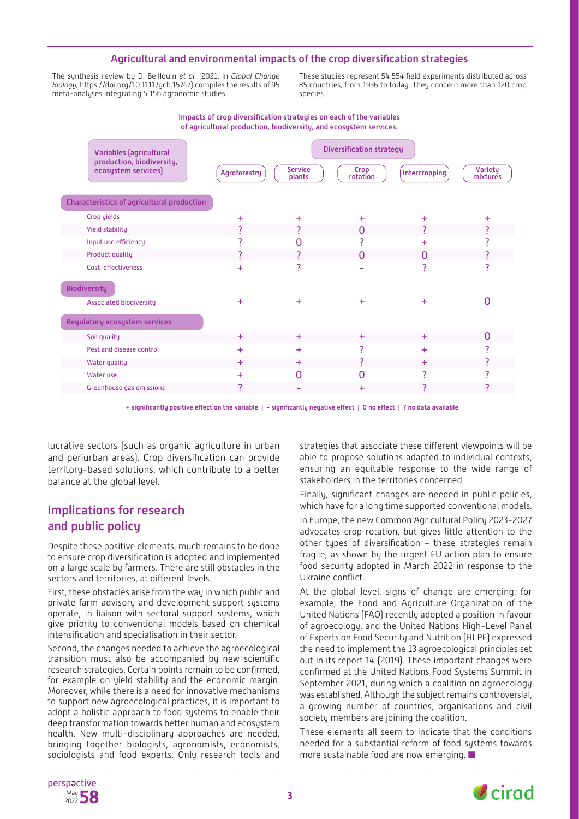#### Agricultural and environmental impacts of the crop diversification strategies

The synthesis review by D. Beillouin *et al.* (2021, in *Global Change Biology,* https://doi.org/10.1111/gcb.15747) compiles the results of 95 meta-analyses integrating 5 156 agronomic studies.

These studies represent 54 554 field experiments distributed across 85 countries, from 1936 to today. They concern more than 120 crop species



lucrative sectors (such as organic agriculture in urban and periurban areas). Crop diversification can provide territory-based solutions, which contribute to a better balance at the global level.

### Implications for research and public policy

Despite these positive elements, much remains to be done to ensure crop diversification is adopted and implemented on a large scale by farmers. There are still obstacles in the sectors and territories, at different levels.

First, these obstacles arise from the way in which public and private farm advisory and development support systems operate, in liaison with sectoral support systems, which give priority to conventional models based on chemical intensification and specialisation in their sector.

Second, the changes needed to achieve the agroecological transition must also be accompanied by new scientific research strategies. Certain points remain to be confirmed, for example on yield stability and the economic margin. Moreover, while there is a need for innovative mechanisms to support new agroecological practices, it is important to adopt a holistic approach to food systems to enable their deep transformation towards better human and ecosystem health. New multi-disciplinary approaches are needed, bringing together biologists, agronomists, economists, sociologists and food experts. Only research tools and

strategies that associate these different viewpoints will be able to propose solutions adapted to individual contexts, ensuring an equitable response to the wide range of stakeholders in the territories concerned.

Finally, significant changes are needed in public policies, which have for a long time supported conventional models.

In Europe, the new Common Agricultural Policy 2023-2027 advocates crop rotation, but gives little attention to the other types of diversification – these strategies remain fragile, as shown by the urgent EU action plan to ensure food security adopted in March 2022 in response to the Ukraine conflict.

At the global level, signs of change are emerging: for example, the Food and Agriculture Organization of the United Nations (FAO) recently adopted a position in favour of agroecology, and the United Nations High-Level Panel of Experts on Food Security and Nutrition (HLPE) expressed the need to implement the 13 agroecological principles set out in its report 14 (2019). These important changes were confirmed at the United Nations Food Systems Summit in September 2021, during which a coalition on agroecology was established. Although the subject remains controversial, a growing number of countries, organisations and civil society members are joining the coalition.

These elements all seem to indicate that the conditions needed for a substantial reform of food systems towards more sustainable food are now emerging.  $\blacksquare$